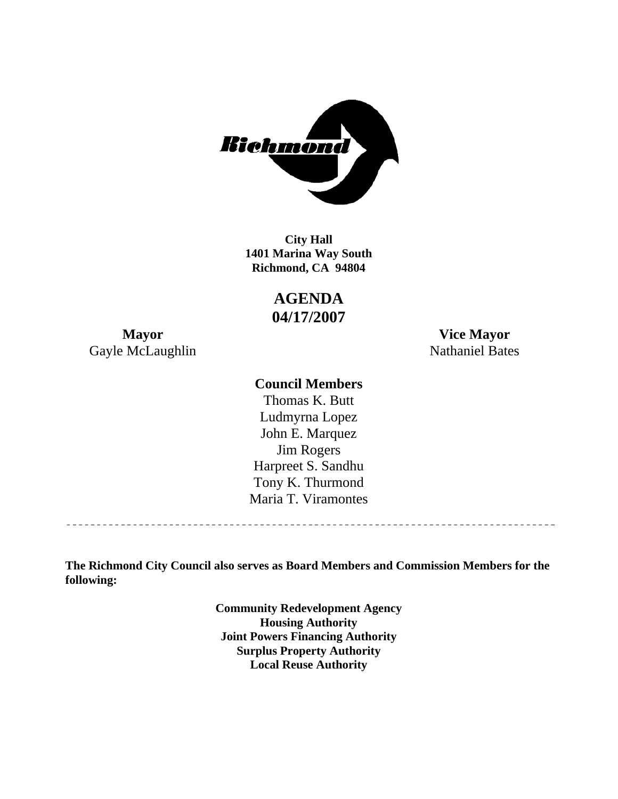

**1401 Marina Way South Richmond, CA 94804 City Hall** 

> **AGENDA 04/17/2007**

Gayle McLaughlin Nathaniel Bates

**Mayor Vice Mayor** 

## **Council Members**

Harpreet S. Sandhu Tony K. Thurmond Maria T. Viramontes Thomas K. Butt Ludmyrna Lopez John E. Marquez Jim Rogers

**The Richmond City Council also serves as Board Members and Commission Members for the following:** 

> **Community Redevelopment Agency Housing Authority Joint Powers Financing Authority Surplus Property Authority Local Reuse Authority**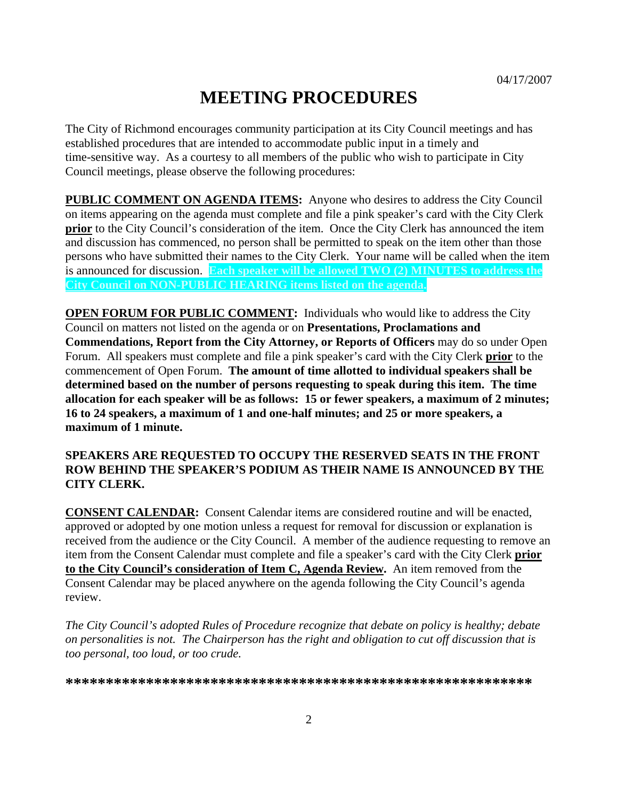## **MEETING PROCEDURES**

The City of Richmond encourages community participation at its City Council meetings and has established procedures that are intended to accommodate public input in a timely and time-sensitive way. As a courtesy to all members of the public who wish to participate in City Council meetings, please observe the following procedures:

**PUBLIC COMMENT ON AGENDA ITEMS:** Anyone who desires to address the City Council on items appearing on the agenda must complete and file a pink speaker's card with the City Clerk **prior** to the City Council's consideration of the item. Once the City Clerk has announced the item and discussion has commenced, no person shall be permitted to speak on the item other than those persons who have submitted their names to the City Clerk. Your name will be called when the item is announced for discussion. **Each speaker will be allowed TWO (2) MINUTES to address the City Council on NON-PUBLIC HEARING items listed on the agenda.** 

**OPEN FORUM FOR PUBLIC COMMENT:** Individuals who would like to address the City Council on matters not listed on the agenda or on **Presentations, Proclamations and Commendations, Report from the City Attorney, or Reports of Officers** may do so under Open Forum. All speakers must complete and file a pink speaker's card with the City Clerk **prior** to the commencement of Open Forum. **The amount of time allotted to individual speakers shall be determined based on the number of persons requesting to speak during this item. The time allocation for each speaker will be as follows: 15 or fewer speakers, a maximum of 2 minutes; 16 to 24 speakers, a maximum of 1 and one-half minutes; and 25 or more speakers, a maximum of 1 minute.** 

#### **SPEAKERS ARE REQUESTED TO OCCUPY THE RESERVED SEATS IN THE FRONT ROW BEHIND THE SPEAKER'S PODIUM AS THEIR NAME IS ANNOUNCED BY THE CITY CLERK.**

**CONSENT CALENDAR:** Consent Calendar items are considered routine and will be enacted, approved or adopted by one motion unless a request for removal for discussion or explanation is received from the audience or the City Council. A member of the audience requesting to remove an item from the Consent Calendar must complete and file a speaker's card with the City Clerk **prior to the City Council's consideration of Item C, Agenda Review.** An item removed from the Consent Calendar may be placed anywhere on the agenda following the City Council's agenda review.

*The City Council's adopted Rules of Procedure recognize that debate on policy is healthy; debate on personalities is not. The Chairperson has the right and obligation to cut off discussion that is too personal, too loud, or too crude.* 

**\*\*\*\*\*\*\*\*\*\*\*\*\*\*\*\*\*\*\*\*\*\*\*\*\*\*\*\*\*\*\*\*\*\*\*\*\*\*\*\*\*\*\*\*\*\*\*\*\*\*\*\*\*\*\*\*\*\***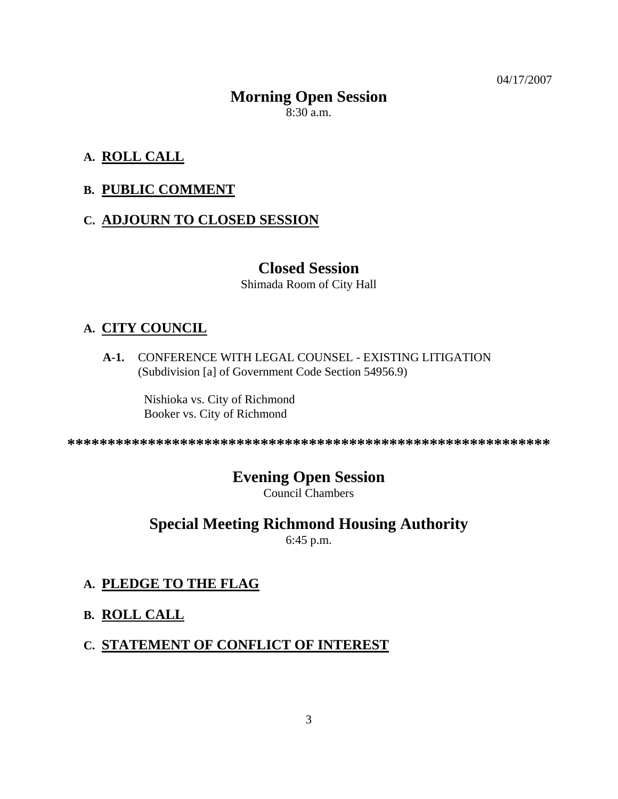04/17/2007

# **Morning Open Session**

8:30 a.m.

## **A. ROLL CALL**

## **B. PUBLIC COMMENT**

## **C. ADJOURN TO CLOSED SESSION**

## **Closed Session**

Shimada Room of City Hall

## **A. CITY COUNCIL**

**A-1.** CONFERENCE WITH LEGAL COUNSEL - EXISTING LITIGATION (Subdivision [a] of Government Code Section 54956.9)

> Nishioka vs. City of Richmond Booker vs. City of Richmond

**\*\*\*\*\*\*\*\*\*\*\*\*\*\*\*\*\*\*\*\*\*\*\*\*\*\*\*\*\*\*\*\*\*\*\*\*\*\*\*\*\*\*\*\*\*\*\*\*\*\*\*\*\*\*\*\*\*\*\*\*** 

## **Evening Open Session**

Council Chambers

## **Special Meeting Richmond Housing Authority**

6:45 p.m.

## **A. PLEDGE TO THE FLAG**

**B. ROLL CALL**

## **C. STATEMENT OF CONFLICT OF INTEREST**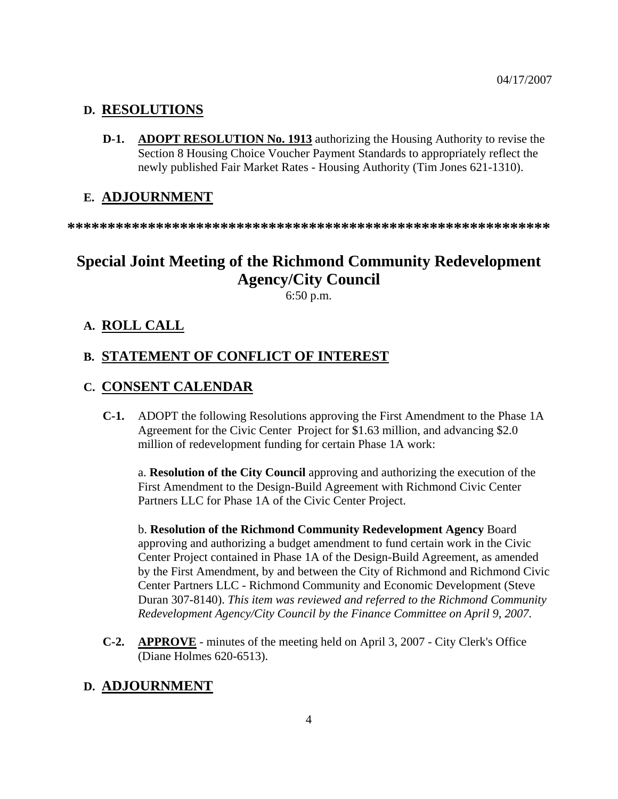#### **D. RESOLUTIONS**

**D-1. ADOPT RESOLUTION No. 1913** authorizing the Housing Authority to revise the Section 8 Housing Choice Voucher Payment Standards to appropriately reflect the newly published Fair Market Rates - Housing Authority (Tim Jones 621-1310).

#### **E. ADJOURNMENT**

**\*\*\*\*\*\*\*\*\*\*\*\*\*\*\*\*\*\*\*\*\*\*\*\*\*\*\*\*\*\*\*\*\*\*\*\*\*\*\*\*\*\*\*\*\*\*\*\*\*\*\*\*\*\*\*\*\*\*\*\*** 

## **Special Joint Meeting of the Richmond Community Redevelopment Agency/City Council**

6:50 p.m.

#### **A. ROLL CALL**

#### **B. STATEMENT OF CONFLICT OF INTEREST**

#### **C. CONSENT CALENDAR**

**C-1.** ADOPT the following Resolutions approving the First Amendment to the Phase 1A Agreement for the Civic Center Project for \$1.63 million, and advancing \$2.0 million of redevelopment funding for certain Phase 1A work:

a. **Resolution of the City Council** approving and authorizing the execution of the First Amendment to the Design-Build Agreement with Richmond Civic Center Partners LLC for Phase 1A of the Civic Center Project.

b. **Resolution of the Richmond Community Redevelopment Agency** Board approving and authorizing a budget amendment to fund certain work in the Civic Center Project contained in Phase 1A of the Design-Build Agreement, as amended by the First Amendment, by and between the City of Richmond and Richmond Civic Center Partners LLC - Richmond Community and Economic Development (Steve Duran 307-8140). *This item was reviewed and referred to the Richmond Community Redevelopment Agency/City Council by the Finance Committee on April 9, 2007.*

**C-2. APPROVE** - minutes of the meeting held on April 3, 2007 - City Clerk's Office (Diane Holmes 620-6513).

#### **D. ADJOURNMENT**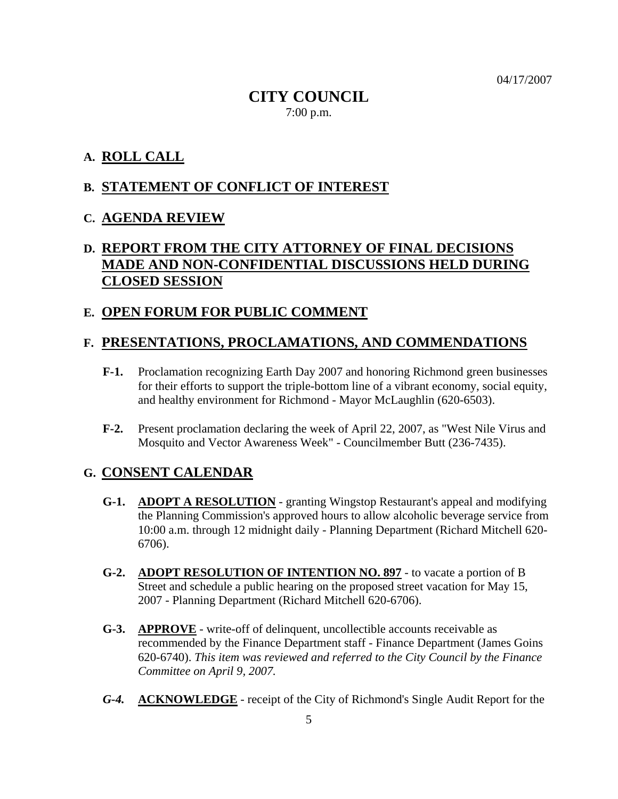04/17/2007

## **CITY COUNCIL**  7:00 p.m.

## **A. ROLL CALL**

#### **B. STATEMENT OF CONFLICT OF INTEREST**

#### **C. AGENDA REVIEW**

## **D. REPORT FROM THE CITY ATTORNEY OF FINAL DECISIONS MADE AND NON-CONFIDENTIAL DISCUSSIONS HELD DURING CLOSED SESSION**

#### **E. OPEN FORUM FOR PUBLIC COMMENT**

#### **F. PRESENTATIONS, PROCLAMATIONS, AND COMMENDATIONS**

- **F-1.** Proclamation recognizing Earth Day 2007 and honoring Richmond green businesses for their efforts to support the triple-bottom line of a vibrant economy, social equity, and healthy environment for Richmond - Mayor McLaughlin (620-6503).
- **F-2.** Present proclamation declaring the week of April 22, 2007, as "West Nile Virus and Mosquito and Vector Awareness Week" - Councilmember Butt (236-7435).

#### **G. CONSENT CALENDAR**

- **G-1. ADOPT A RESOLUTION** granting Wingstop Restaurant's appeal and modifying the Planning Commission's approved hours to allow alcoholic beverage service from 10:00 a.m. through 12 midnight daily - Planning Department (Richard Mitchell 620- 6706).
- **G-2. ADOPT RESOLUTION OF INTENTION NO. 897** to vacate a portion of B Street and schedule a public hearing on the proposed street vacation for May 15, 2007 - Planning Department (Richard Mitchell 620-6706).
- **G-3. APPROVE** write-off of delinquent, uncollectible accounts receivable as recommended by the Finance Department staff - Finance Department (James Goins 620-6740). *This item was reviewed and referred to the City Council by the Finance Committee on April 9, 2007.*
- *G-4.* **ACKNOWLEDGE** receipt of the City of Richmond's Single Audit Report for the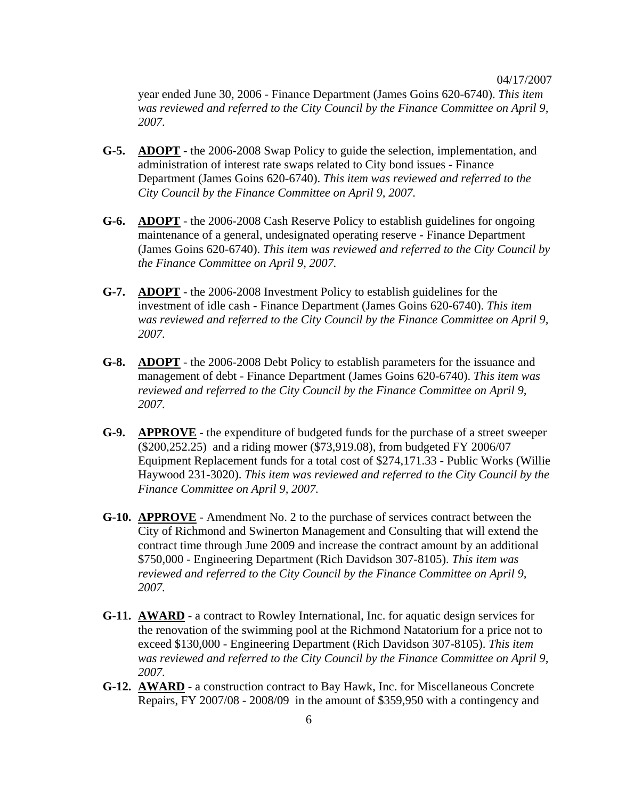year ended June 30, 2006 - Finance Department (James Goins 620-6740). *This item was reviewed and referred to the City Council by the Finance Committee on April 9, 2007.* 

- **G-5. ADOPT** the 2006-2008 Swap Policy to guide the selection, implementation, and administration of interest rate swaps related to City bond issues - Finance Department (James Goins 620-6740). *This item was reviewed and referred to the City Council by the Finance Committee on April 9, 2007.*
- **G-6. ADOPT** the 2006-2008 Cash Reserve Policy to establish guidelines for ongoing maintenance of a general, undesignated operating reserve - Finance Department (James Goins 620-6740). *This item was reviewed and referred to the City Council by the Finance Committee on April 9, 2007.*
- **G-7. ADOPT** the 2006-2008 Investment Policy to establish guidelines for the investment of idle cash - Finance Department (James Goins 620-6740). *This item was reviewed and referred to the City Council by the Finance Committee on April 9, 2007.*
- **G-8. ADOPT** the 2006-2008 Debt Policy to establish parameters for the issuance and management of debt - Finance Department (James Goins 620-6740). *This item was reviewed and referred to the City Council by the Finance Committee on April 9, 2007.*
- **G-9. APPROVE** the expenditure of budgeted funds for the purchase of a street sweeper (\$200,252.25) and a riding mower (\$73,919.08), from budgeted FY 2006/07 Equipment Replacement funds for a total cost of \$274,171.33 - Public Works (Willie Haywood 231-3020). *This item was reviewed and referred to the City Council by the Finance Committee on April 9, 2007.*
- **G-10. APPROVE** Amendment No. 2 to the purchase of services contract between the City of Richmond and Swinerton Management and Consulting that will extend the contract time through June 2009 and increase the contract amount by an additional \$750,000 - Engineering Department (Rich Davidson 307-8105). *This item was reviewed and referred to the City Council by the Finance Committee on April 9, 2007.*
- **G-11. AWARD** a contract to Rowley International, Inc. for aquatic design services for the renovation of the swimming pool at the Richmond Natatorium for a price not to exceed \$130,000 - Engineering Department (Rich Davidson 307-8105). *This item was reviewed and referred to the City Council by the Finance Committee on April 9, 2007.*
- **G-12. AWARD** a construction contract to Bay Hawk, Inc. for Miscellaneous Concrete Repairs, FY 2007/08 - 2008/09 in the amount of \$359,950 with a contingency and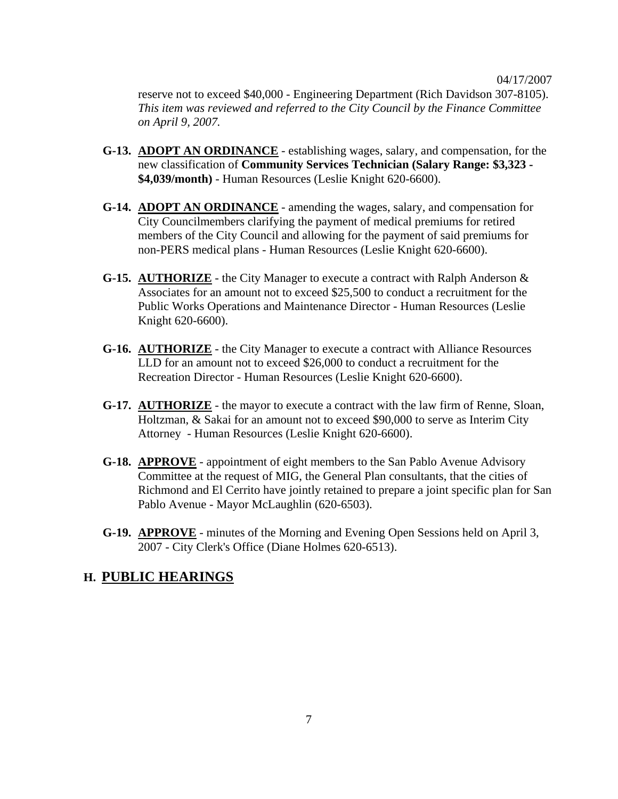reserve not to exceed \$40,000 - Engineering Department (Rich Davidson 307-8105). *This item was reviewed and referred to the City Council by the Finance Committee on April 9, 2007.*

- **G-13. ADOPT AN ORDINANCE** establishing wages, salary, and compensation, for the new classification of **Community Services Technician (Salary Range: \$3,323 - \$4,039/month)** - Human Resources (Leslie Knight 620-6600).
- **G-14. ADOPT AN ORDINANCE** amending the wages, salary, and compensation for City Councilmembers clarifying the payment of medical premiums for retired members of the City Council and allowing for the payment of said premiums for non-PERS medical plans - Human Resources (Leslie Knight 620-6600).
- **G-15. AUTHORIZE** the City Manager to execute a contract with Ralph Anderson & Associates for an amount not to exceed \$25,500 to conduct a recruitment for the Public Works Operations and Maintenance Director - Human Resources (Leslie Knight 620-6600).
- **G-16. AUTHORIZE** the City Manager to execute a contract with Alliance Resources LLD for an amount not to exceed \$26,000 to conduct a recruitment for the Recreation Director - Human Resources (Leslie Knight 620-6600).
- **G-17. AUTHORIZE** the mayor to execute a contract with the law firm of Renne, Sloan, Holtzman, & Sakai for an amount not to exceed \$90,000 to serve as Interim City Attorney - Human Resources (Leslie Knight 620-6600).
- **G-18. APPROVE** appointment of eight members to the San Pablo Avenue Advisory Committee at the request of MIG, the General Plan consultants, that the cities of Richmond and El Cerrito have jointly retained to prepare a joint specific plan for San Pablo Avenue - Mayor McLaughlin (620-6503).
- **G-19. APPROVE** minutes of the Morning and Evening Open Sessions held on April 3, 2007 - City Clerk's Office (Diane Holmes 620-6513).

#### **H. PUBLIC HEARINGS**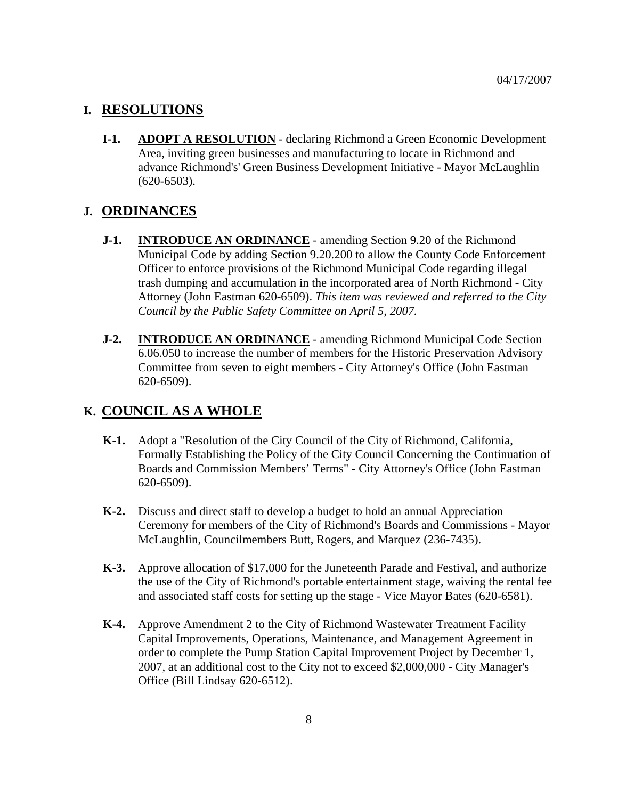#### **I. RESOLUTIONS**

**I-1. ADOPT A RESOLUTION** - declaring Richmond a Green Economic Development Area, inviting green businesses and manufacturing to locate in Richmond and advance Richmond's' Green Business Development Initiative - Mayor McLaughlin (620-6503).

#### **J. ORDINANCES**

- **J-1. INTRODUCE AN ORDINANCE** amending Section 9.20 of the Richmond Municipal Code by adding Section 9.20.200 to allow the County Code Enforcement Officer to enforce provisions of the Richmond Municipal Code regarding illegal trash dumping and accumulation in the incorporated area of North Richmond - City Attorney (John Eastman 620-6509). *This item was reviewed and referred to the City Council by the Public Safety Committee on April 5, 2007.*
- **J-2. INTRODUCE AN ORDINANCE** amending Richmond Municipal Code Section 6.06.050 to increase the number of members for the Historic Preservation Advisory Committee from seven to eight members - City Attorney's Office (John Eastman 620-6509).

## **K. COUNCIL AS A WHOLE**

- **K-1.** Adopt a "Resolution of the City Council of the City of Richmond, California, Formally Establishing the Policy of the City Council Concerning the Continuation of Boards and Commission Members' Terms" - City Attorney's Office (John Eastman 620-6509).
- **K-2.** Discuss and direct staff to develop a budget to hold an annual Appreciation Ceremony for members of the City of Richmond's Boards and Commissions - Mayor McLaughlin, Councilmembers Butt, Rogers, and Marquez (236-7435).
- **K-3.** Approve allocation of \$17,000 for the Juneteenth Parade and Festival, and authorize the use of the City of Richmond's portable entertainment stage, waiving the rental fee and associated staff costs for setting up the stage - Vice Mayor Bates (620-6581).
- **K-4.** Approve Amendment 2 to the City of Richmond Wastewater Treatment Facility Capital Improvements, Operations, Maintenance, and Management Agreement in order to complete the Pump Station Capital Improvement Project by December 1, 2007, at an additional cost to the City not to exceed \$2,000,000 - City Manager's Office (Bill Lindsay 620-6512).